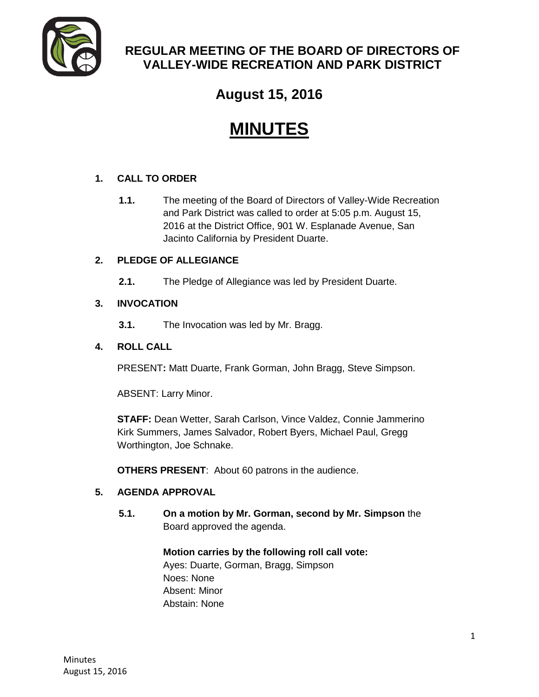

## **REGULAR MEETING OF THE BOARD OF DIRECTORS OF VALLEY-WIDE RECREATION AND PARK DISTRICT**

# **August 15, 2016**

# **MINUTES**

## **1. CALL TO ORDER**

**1.1.** The meeting of the Board of Directors of Valley-Wide Recreation and Park District was called to order at 5:05 p.m. August 15, 2016 at the District Office, 901 W. Esplanade Avenue, San Jacinto California by President Duarte.

## **2. PLEDGE OF ALLEGIANCE**

**2.1.** The Pledge of Allegiance was led by President Duarte.

## **3. INVOCATION**

**3.1.** The Invocation was led by Mr. Bragg.

## **4. ROLL CALL**

PRESENT**:** Matt Duarte, Frank Gorman, John Bragg, Steve Simpson.

ABSENT: Larry Minor.

**STAFF:** Dean Wetter, Sarah Carlson, Vince Valdez, Connie Jammerino Kirk Summers, James Salvador, Robert Byers, Michael Paul, Gregg Worthington, Joe Schnake.

**OTHERS PRESENT**: About 60 patrons in the audience.

## **5. AGENDA APPROVAL**

**5.1. On a motion by Mr. Gorman, second by Mr. Simpson** the Board approved the agenda.

> **Motion carries by the following roll call vote:**  Ayes: Duarte, Gorman, Bragg, Simpson Noes: None Absent: Minor Abstain: None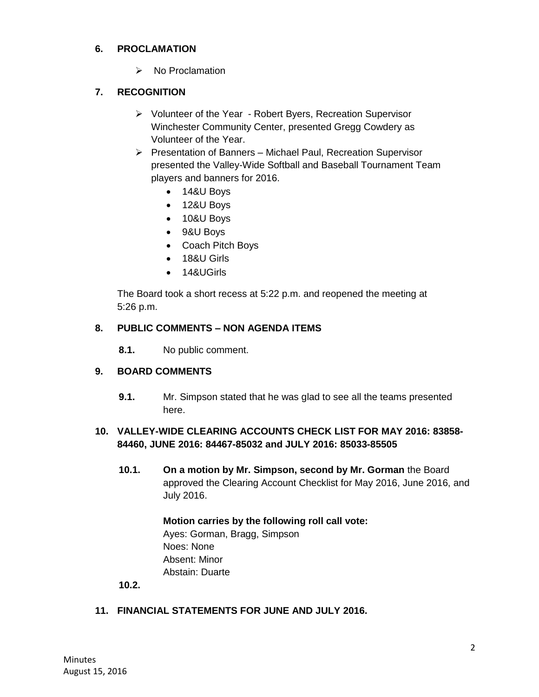#### **6. PROCLAMATION**

 $\triangleright$  No Proclamation

## **7. RECOGNITION**

- Volunteer of the Year Robert Byers, Recreation Supervisor Winchester Community Center, presented Gregg Cowdery as Volunteer of the Year.
- $\triangleright$  Presentation of Banners Michael Paul, Recreation Supervisor presented the Valley-Wide Softball and Baseball Tournament Team players and banners for 2016.
	- 14&U Boys
	- 12&U Boys
	- 10&U Boys
	- 9&U Boys
	- Coach Pitch Boys
	- 18&U Girls
	- 14&UGirls

The Board took a short recess at 5:22 p.m. and reopened the meeting at 5:26 p.m.

#### **8. PUBLIC COMMENTS – NON AGENDA ITEMS**

**8.1.** No public comment.

## **9. BOARD COMMENTS**

**9.1.** Mr. Simpson stated that he was glad to see all the teams presented here.

## **10. VALLEY-WIDE CLEARING ACCOUNTS CHECK LIST FOR MAY 2016: 83858- 84460, JUNE 2016: 84467-85032 and JULY 2016: 85033-85505**

**10.1. On a motion by Mr. Simpson, second by Mr. Gorman** the Board approved the Clearing Account Checklist for May 2016, June 2016, and July 2016.

## **Motion carries by the following roll call vote:**  Ayes: Gorman, Bragg, Simpson Noes: None Absent: Minor Abstain: Duarte

**10.2.**

## **11. FINANCIAL STATEMENTS FOR JUNE AND JULY 2016.**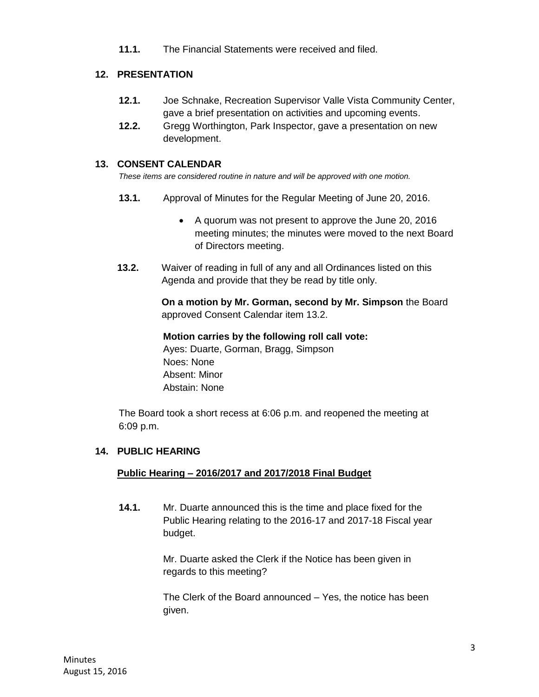**11.1.** The Financial Statements were received and filed.

## **12. PRESENTATION**

- **12.1.** Joe Schnake, Recreation Supervisor Valle Vista Community Center, gave a brief presentation on activities and upcoming events.
- **12.2.** Gregg Worthington, Park Inspector, gave a presentation on new development.

## **13. CONSENT CALENDAR**

*These items are considered routine in nature and will be approved with one motion.* 

- **13.1.** Approval of Minutes for the Regular Meeting of June 20, 2016.
	- A quorum was not present to approve the June 20, 2016 meeting minutes; the minutes were moved to the next Board of Directors meeting.
- **13.2.** Waiver of reading in full of any and all Ordinances listed on this Agenda and provide that they be read by title only.

**On a motion by Mr. Gorman, second by Mr. Simpson** the Board approved Consent Calendar item 13.2.

#### **Motion carries by the following roll call vote:**

Ayes: Duarte, Gorman, Bragg, Simpson Noes: None Absent: Minor Abstain: None

The Board took a short recess at 6:06 p.m. and reopened the meeting at 6:09 p.m.

## **14. PUBLIC HEARING**

## **Public Hearing – 2016/2017 and 2017/2018 Final Budget**

**14.1.** Mr. Duarte announced this is the time and place fixed for the Public Hearing relating to the 2016-17 and 2017-18 Fiscal year budget.

> Mr. Duarte asked the Clerk if the Notice has been given in regards to this meeting?

The Clerk of the Board announced – Yes, the notice has been given.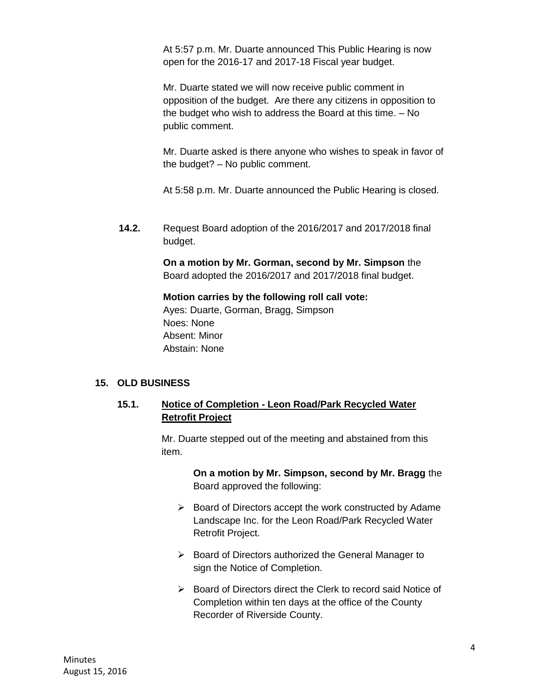At 5:57 p.m. Mr. Duarte announced This Public Hearing is now open for the 2016-17 and 2017-18 Fiscal year budget.

Mr. Duarte stated we will now receive public comment in opposition of the budget. Are there any citizens in opposition to the budget who wish to address the Board at this time. – No public comment.

Mr. Duarte asked is there anyone who wishes to speak in favor of the budget? – No public comment.

At 5:58 p.m. Mr. Duarte announced the Public Hearing is closed.

**14.2.** Request Board adoption of the 2016/2017 and 2017/2018 final budget.

> **On a motion by Mr. Gorman, second by Mr. Simpson** the Board adopted the 2016/2017 and 2017/2018 final budget.

#### **Motion carries by the following roll call vote:**

Ayes: Duarte, Gorman, Bragg, Simpson Noes: None Absent: Minor Abstain: None

#### **15. OLD BUSINESS**

#### **15.1. Notice of Completion - Leon Road/Park Recycled Water Retrofit Project**

Mr. Duarte stepped out of the meeting and abstained from this item.

> **On a motion by Mr. Simpson, second by Mr. Bragg** the Board approved the following:

- $\triangleright$  Board of Directors accept the work constructed by Adame Landscape Inc. for the Leon Road/Park Recycled Water Retrofit Project.
- $\triangleright$  Board of Directors authorized the General Manager to sign the Notice of Completion.
- Board of Directors direct the Clerk to record said Notice of Completion within ten days at the office of the County Recorder of Riverside County.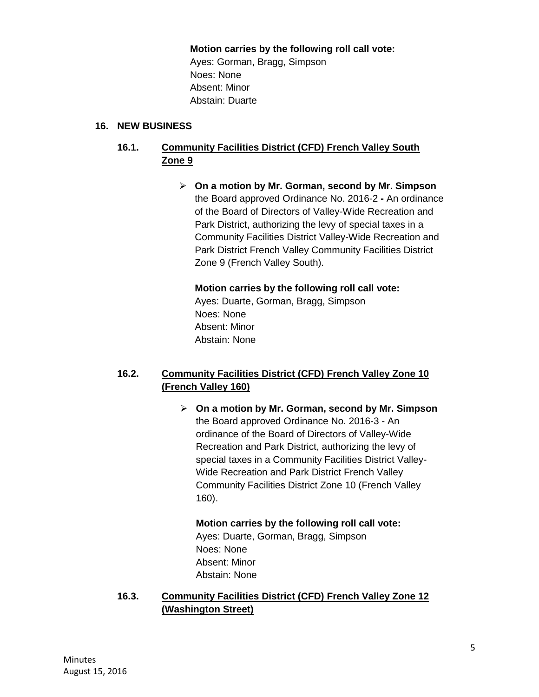#### **Motion carries by the following roll call vote:**

Ayes: Gorman, Bragg, Simpson Noes: None Absent: Minor Abstain: Duarte

#### **16. NEW BUSINESS**

## **16.1. Community Facilities District (CFD) French Valley South Zone 9**

 **On a motion by Mr. Gorman, second by Mr. Simpson**  the Board approved Ordinance No. 2016-2 **-** An ordinance of the Board of Directors of Valley-Wide Recreation and Park District, authorizing the levy of special taxes in a Community Facilities District Valley-Wide Recreation and Park District French Valley Community Facilities District Zone 9 (French Valley South).

**Motion carries by the following roll call vote:**  Ayes: Duarte, Gorman, Bragg, Simpson Noes: None Absent: Minor Abstain: None

## **16.2. Community Facilities District (CFD) French Valley Zone 10 (French Valley 160)**

 **On a motion by Mr. Gorman, second by Mr. Simpson**  the Board approved Ordinance No. 2016-3 - An ordinance of the Board of Directors of Valley-Wide Recreation and Park District, authorizing the levy of special taxes in a Community Facilities District Valley-Wide Recreation and Park District French Valley Community Facilities District Zone 10 (French Valley 160).

**Motion carries by the following roll call vote:**  Ayes: Duarte, Gorman, Bragg, Simpson Noes: None Absent: Minor Abstain: None

**16.3. Community Facilities District (CFD) French Valley Zone 12 (Washington Street)**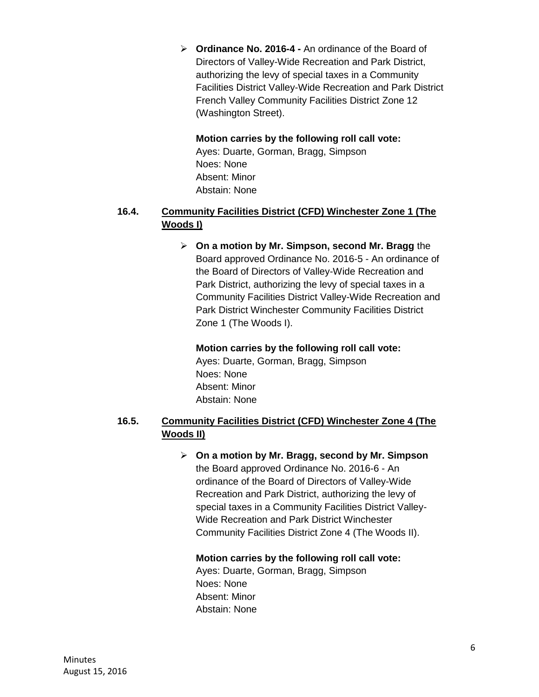**Ordinance No. 2016-4 -** An ordinance of the Board of Directors of Valley-Wide Recreation and Park District, authorizing the levy of special taxes in a Community Facilities District Valley-Wide Recreation and Park District French Valley Community Facilities District Zone 12 (Washington Street).

#### **Motion carries by the following roll call vote:**

Ayes: Duarte, Gorman, Bragg, Simpson Noes: None Absent: Minor Abstain: None

## **16.4. Community Facilities District (CFD) Winchester Zone 1 (The Woods I)**

 **On a motion by Mr. Simpson, second Mr. Bragg** the Board approved Ordinance No. 2016-5 - An ordinance of the Board of Directors of Valley-Wide Recreation and Park District, authorizing the levy of special taxes in a Community Facilities District Valley-Wide Recreation and Park District Winchester Community Facilities District Zone 1 (The Woods I).

#### **Motion carries by the following roll call vote:**

Ayes: Duarte, Gorman, Bragg, Simpson Noes: None Absent: Minor Abstain: None

## **16.5. Community Facilities District (CFD) Winchester Zone 4 (The Woods II)**

 **On a motion by Mr. Bragg, second by Mr. Simpson**  the Board approved Ordinance No. 2016-6 - An ordinance of the Board of Directors of Valley-Wide Recreation and Park District, authorizing the levy of special taxes in a Community Facilities District Valley-Wide Recreation and Park District Winchester Community Facilities District Zone 4 (The Woods II).

#### **Motion carries by the following roll call vote:**

Ayes: Duarte, Gorman, Bragg, Simpson Noes: None Absent: Minor Abstain: None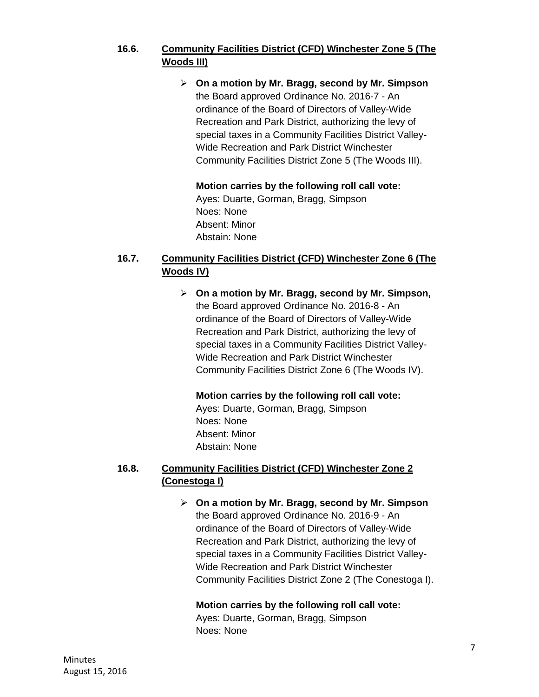## **16.6. Community Facilities District (CFD) Winchester Zone 5 (The Woods III)**

 **On a motion by Mr. Bragg, second by Mr. Simpson**  the Board approved Ordinance No. 2016-7 - An ordinance of the Board of Directors of Valley-Wide Recreation and Park District, authorizing the levy of special taxes in a Community Facilities District Valley-Wide Recreation and Park District Winchester Community Facilities District Zone 5 (The Woods III).

**Motion carries by the following roll call vote:**  Ayes: Duarte, Gorman, Bragg, Simpson Noes: None Absent: Minor Abstain: None

## **16.7. Community Facilities District (CFD) Winchester Zone 6 (The Woods IV)**

 **On a motion by Mr. Bragg, second by Mr. Simpson,**  the Board approved Ordinance No. 2016-8 - An ordinance of the Board of Directors of Valley-Wide Recreation and Park District, authorizing the levy of special taxes in a Community Facilities District Valley-Wide Recreation and Park District Winchester Community Facilities District Zone 6 (The Woods IV).

**Motion carries by the following roll call vote:** 

Ayes: Duarte, Gorman, Bragg, Simpson Noes: None Absent: Minor Abstain: None

## **16.8. Community Facilities District (CFD) Winchester Zone 2 (Conestoga I)**

 **On a motion by Mr. Bragg, second by Mr. Simpson**  the Board approved Ordinance No. 2016-9 - An ordinance of the Board of Directors of Valley-Wide Recreation and Park District, authorizing the levy of special taxes in a Community Facilities District Valley-Wide Recreation and Park District Winchester Community Facilities District Zone 2 (The Conestoga I).

**Motion carries by the following roll call vote:** 

Ayes: Duarte, Gorman, Bragg, Simpson Noes: None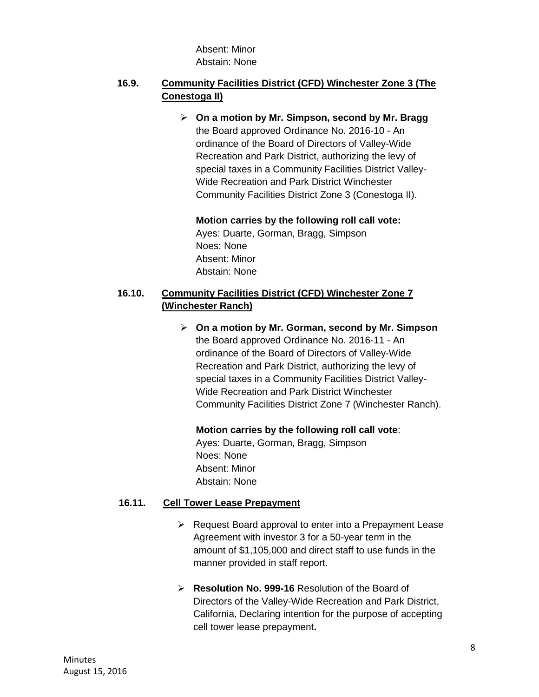Absent: Minor Abstain: None

## **16.9. Community Facilities District (CFD) Winchester Zone 3 (The Conestoga II)**

 **On a motion by Mr. Simpson, second by Mr. Bragg**  the Board approved Ordinance No. 2016-10 - An ordinance of the Board of Directors of Valley-Wide Recreation and Park District, authorizing the levy of special taxes in a Community Facilities District Valley-Wide Recreation and Park District Winchester Community Facilities District Zone 3 (Conestoga II).

#### **Motion carries by the following roll call vote:**

Ayes: Duarte, Gorman, Bragg, Simpson Noes: None Absent: Minor Abstain: None

## **16.10. Community Facilities District (CFD) Winchester Zone 7 (Winchester Ranch)**

 **On a motion by Mr. Gorman, second by Mr. Simpson**  the Board approved Ordinance No. 2016-11 - An ordinance of the Board of Directors of Valley-Wide Recreation and Park District, authorizing the levy of special taxes in a Community Facilities District Valley-Wide Recreation and Park District Winchester Community Facilities District Zone 7 (Winchester Ranch).

**Motion carries by the following roll call vote**:

Ayes: Duarte, Gorman, Bragg, Simpson Noes: None Absent: Minor Abstain: None

#### **16.11. Cell Tower Lease Prepayment**

- $\triangleright$  Request Board approval to enter into a Prepayment Lease Agreement with investor 3 for a 50-year term in the amount of \$1,105,000 and direct staff to use funds in the manner provided in staff report.
- **Resolution No. 999-16** Resolution of the Board of Directors of the Valley-Wide Recreation and Park District, California, Declaring intention for the purpose of accepting cell tower lease prepayment**.**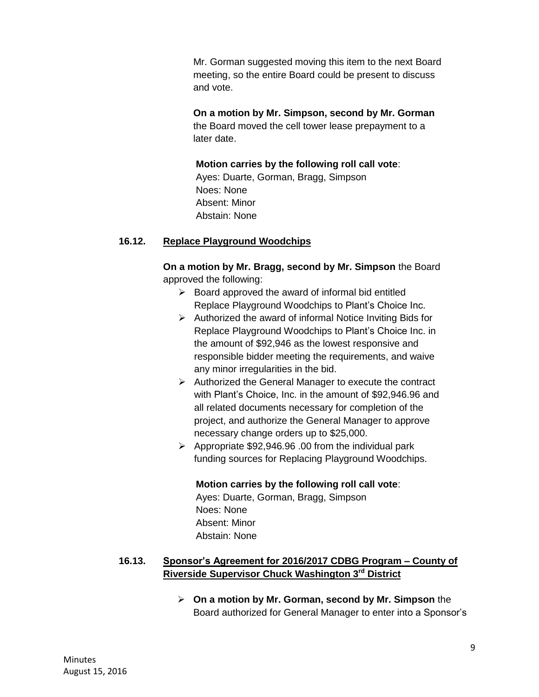Mr. Gorman suggested moving this item to the next Board meeting, so the entire Board could be present to discuss and vote.

**On a motion by Mr. Simpson, second by Mr. Gorman** the Board moved the cell tower lease prepayment to a later date.

#### **Motion carries by the following roll call vote**:

Ayes: Duarte, Gorman, Bragg, Simpson Noes: None Absent: Minor Abstain: None

#### **16.12. Replace Playground Woodchips**

**On a motion by Mr. Bragg, second by Mr. Simpson** the Board approved the following:

- $\triangleright$  Board approved the award of informal bid entitled Replace Playground Woodchips to Plant's Choice Inc.
- $\triangleright$  Authorized the award of informal Notice Inviting Bids for Replace Playground Woodchips to Plant's Choice Inc. in the amount of \$92,946 as the lowest responsive and responsible bidder meeting the requirements, and waive any minor irregularities in the bid.
- $\triangleright$  Authorized the General Manager to execute the contract with Plant's Choice, Inc. in the amount of \$92,946.96 and all related documents necessary for completion of the project, and authorize the General Manager to approve necessary change orders up to \$25,000.
- $\triangleright$  Appropriate \$92,946.96 .00 from the individual park funding sources for Replacing Playground Woodchips.

## **Motion carries by the following roll call vote**:

Ayes: Duarte, Gorman, Bragg, Simpson Noes: None Absent: Minor Abstain: None

## **16.13. Sponsor's Agreement for 2016/2017 CDBG Program – County of Riverside Supervisor Chuck Washington 3rd District**

 **On a motion by Mr. Gorman, second by Mr. Simpson** the Board authorized for General Manager to enter into a Sponsor's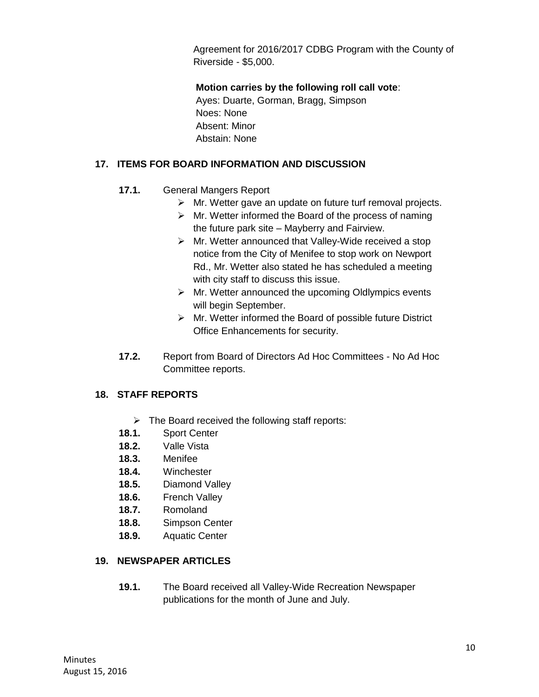Agreement for 2016/2017 CDBG Program with the County of Riverside - \$5,000.

**Motion carries by the following roll call vote**: Ayes: Duarte, Gorman, Bragg, Simpson Noes: None Absent: Minor

Abstain: None

## **17. ITEMS FOR BOARD INFORMATION AND DISCUSSION**

- **17.1.** General Mangers Report
	- > Mr. Wetter gave an update on future turf removal projects.
	- $\triangleright$  Mr. Wetter informed the Board of the process of naming the future park site – Mayberry and Fairview.
	- $\triangleright$  Mr. Wetter announced that Valley-Wide received a stop notice from the City of Menifee to stop work on Newport Rd., Mr. Wetter also stated he has scheduled a meeting with city staff to discuss this issue.
	- $\triangleright$  Mr. Wetter announced the upcoming Oldlympics events will begin September.
	- $\triangleright$  Mr. Wetter informed the Board of possible future District Office Enhancements for security.
- **17.2.** Report from Board of Directors Ad Hoc Committees No Ad Hoc Committee reports.

## **18. STAFF REPORTS**

- $\triangleright$  The Board received the following staff reports:
- **18.1.** Sport Center
- **18.2.** Valle Vista
- **18.3.** Menifee
- **18.4.** Winchester
- **18.5.** Diamond Valley
- **18.6.** French Valley
- **18.7.** Romoland
- **18.8.** Simpson Center
- **18.9.** Aquatic Center

## **19. NEWSPAPER ARTICLES**

**19.1.** The Board received all Valley-Wide Recreation Newspaper publications for the month of June and July.